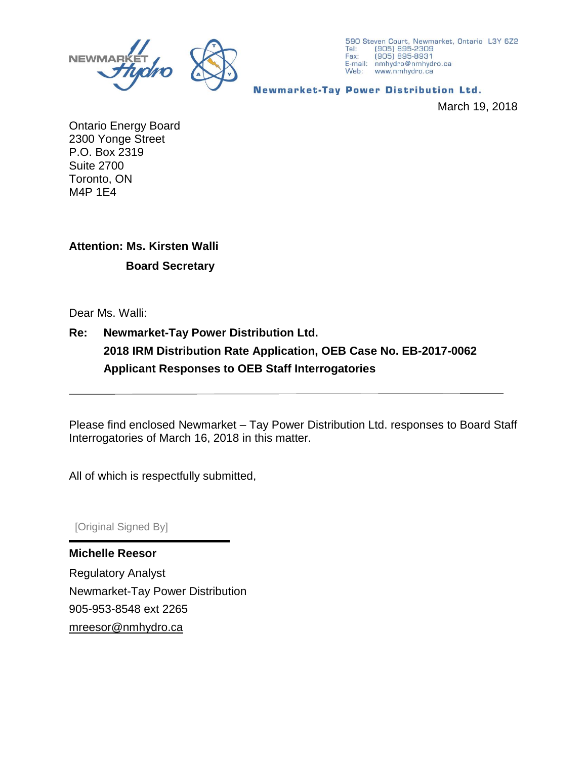

590 Steven Court, Newmarket, Ontario L3Y 6Z2 Tel: (905) 895-2309<br>Fax: (905) 895-8931 E-mail: nmhydro@nmhydro.ca Web: www.nmhydro.ca

#### **Newmarket-Tay Power Distribution Ltd.**

March 19, 2018

Ontario Energy Board 2300 Yonge Street P.O. Box 2319 Suite 2700 Toronto, ON M4P 1E4

## **Attention: Ms. Kirsten Walli**

### **Board Secretary**

Dear Ms. Walli:

### **Re: Newmarket-Tay Power Distribution Ltd. 2018 IRM Distribution Rate Application, OEB Case No. EB-2017-0062 Applicant Responses to OEB Staff Interrogatories**

Please find enclosed Newmarket – Tay Power Distribution Ltd. responses to Board Staff Interrogatories of March 16, 2018 in this matter.

All of which is respectfully submitted,

[Original Signed By]

**Michelle Reesor** Regulatory Analyst Newmarket-Tay Power Distribution 905-953-8548 ext 2265 [mreesor@nmhydro.ca](mailto:mreesor@nmhydro.ca)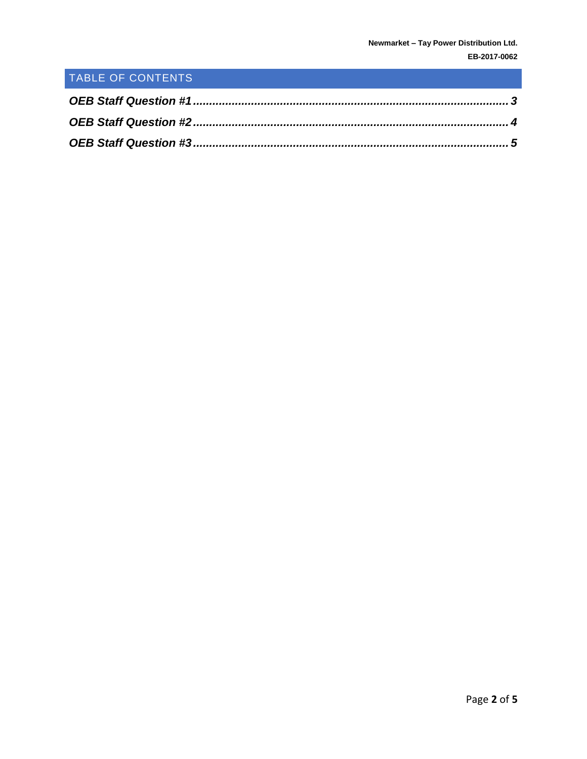# TABLE OF CONTENTS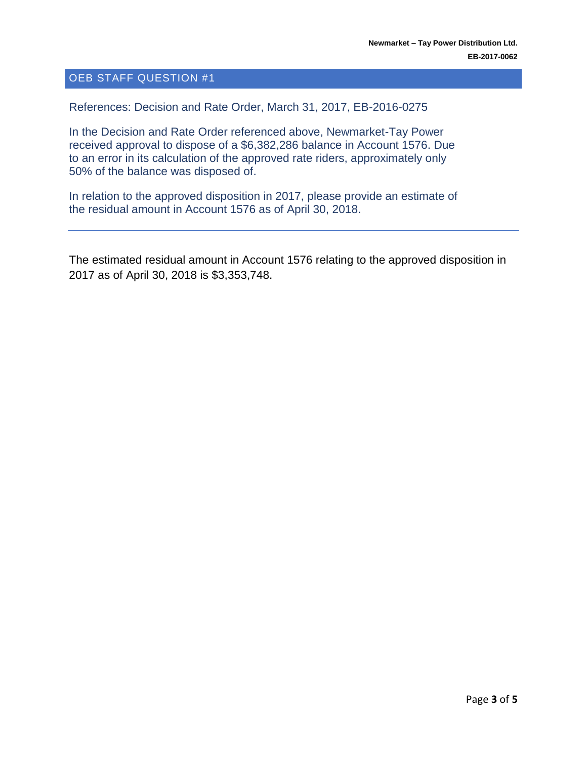#### <span id="page-2-0"></span>OEB STAFF QUESTION #1

References: Decision and Rate Order, March 31, 2017, EB-2016-0275

In the Decision and Rate Order referenced above, Newmarket-Tay Power received approval to dispose of a \$6,382,286 balance in Account 1576. Due to an error in its calculation of the approved rate riders, approximately only 50% of the balance was disposed of.

In relation to the approved disposition in 2017, please provide an estimate of the residual amount in Account 1576 as of April 30, 2018.

The estimated residual amount in Account 1576 relating to the approved disposition in 2017 as of April 30, 2018 is \$3,353,748.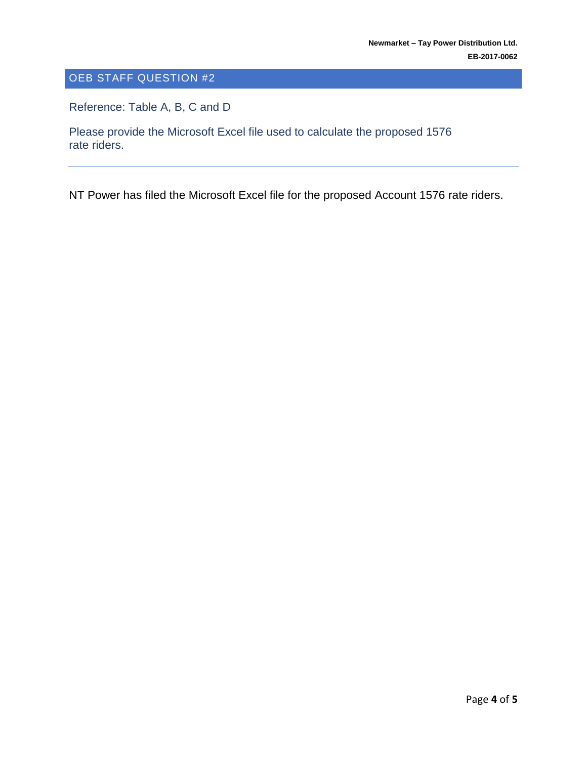### <span id="page-3-0"></span>OEB STAFF QUESTION #2

Reference: Table A, B, C and D

Please provide the Microsoft Excel file used to calculate the proposed 1576 rate riders.

NT Power has filed the Microsoft Excel file for the proposed Account 1576 rate riders.